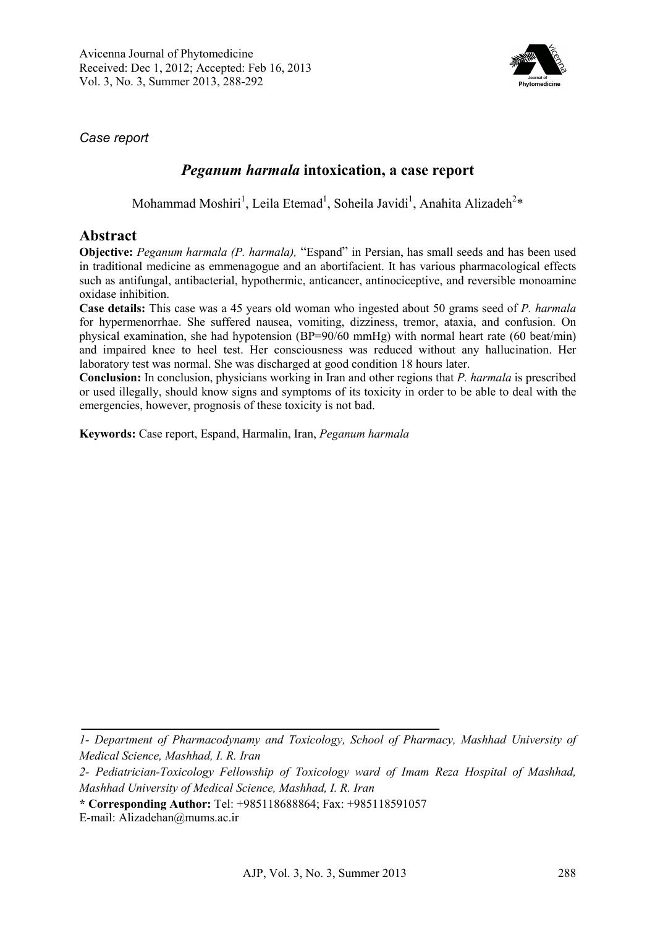

*Case report* 

## *Peganum harmala* **intoxication, a case report**

Mohammad Moshiri<sup>1</sup>, Leila Etemad<sup>1</sup>, Soheila Javidi<sup>1</sup>, Anahita Alizadeh<sup>2</sup>\*

### **Abstract**

**Objective:** *Peganum harmala (P. harmala),* "Espand" in Persian, has small seeds and has been used in traditional medicine as emmenagogue and an abortifacient. It has various pharmacological effects such as antifungal, antibacterial, hypothermic, anticancer, antinociceptive, and reversible monoamine oxidase inhibition.

**Case details:** This case was a 45 years old woman who ingested about 50 grams seed of *P. harmala*  for hypermenorrhae. She suffered nausea, vomiting, dizziness, tremor, ataxia, and confusion. On physical examination, she had hypotension (BP=90/60 mmHg) with normal heart rate (60 beat/min) and impaired knee to heel test. Her consciousness was reduced without any hallucination. Her laboratory test was normal. She was discharged at good condition 18 hours later.

**Conclusion:** In conclusion, physicians working in Iran and other regions that *P. harmala* is prescribed or used illegally, should know signs and symptoms of its toxicity in order to be able to deal with the emergencies, however, prognosis of these toxicity is not bad.

**Keywords:** Case report, Espand, Harmalin, Iran, *Peganum harmala*

*<sup>1-</sup> Department of Pharmacodynamy and Toxicology, School of Pharmacy, Mashhad University of Medical Science, Mashhad, I. R. Iran* 

*<sup>2-</sup> Pediatrician-Toxicology Fellowship of Toxicology ward of Imam Reza Hospital of Mashhad, Mashhad University of Medical Science, Mashhad, I. R. Iran* 

**<sup>\*</sup> Corresponding Author:** Tel: +985118688864; Fax: +985118591057

E-mail: Alizadehan@mums.ac.ir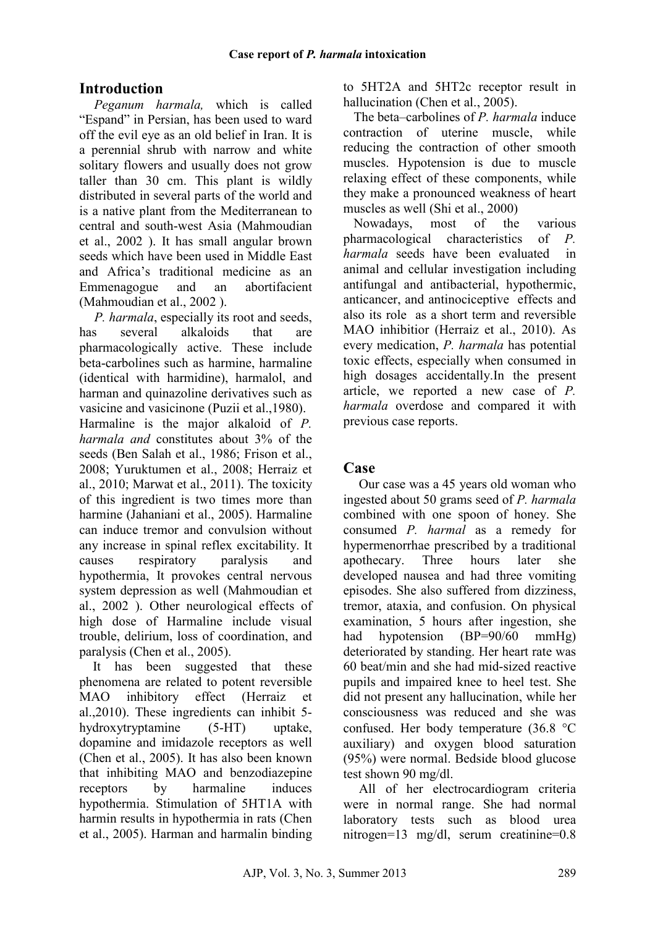# **Introduction**

*Peganum harmala,* which is called "Espand" in Persian, has been used to ward off the evil eye as an old belief in Iran. It is a perennial shrub with narrow and white solitary flowers and usually does not grow taller than 30 cm. This plant is wildly distributed in several parts of the world and is a native plant from the Mediterranean to central and south-west Asia (Mahmoudian et al., 2002 ). It has small angular brown seeds which have been used in Middle East and Africa's traditional medicine as an Emmenagogue and an abortifacient (Mahmoudian et al., 2002 ).

*P. harmala*, especially its root and seeds, has several alkaloids that are pharmacologically active. These include beta-carbolines such as harmine, harmaline (identical with harmidine), harmalol, and harman and quinazoline derivatives such as vasicine and vasicinone (Puzii et al.,1980). Harmaline is the major alkaloid of *P. harmala and* constitutes about 3% of the seeds (Ben Salah et al., 1986; Frison et al., 2008; Yuruktumen et al., 2008; Herraiz et al., 2010; Marwat et al., 2011). The toxicity of this ingredient is two times more than harmine (Jahaniani et al., 2005). Harmaline can induce tremor and convulsion without any increase in spinal reflex excitability. It causes respiratory paralysis and hypothermia, It provokes central nervous system depression as well (Mahmoudian et al., 2002 ). Other neurological effects of high dose of Harmaline include visual trouble, delirium, loss of coordination, and paralysis (Chen et al., 2005).

 It has been suggested that these phenomena are related to potent reversible MAO inhibitory effect (Herraiz et al.,2010). These ingredients can inhibit 5 hydroxytryptamine (5-HT) uptake, dopamine and imidazole receptors as well (Chen et al., 2005). It has also been known that inhibiting MAO and benzodiazepine receptors by harmaline induces hypothermia. Stimulation of 5HT1A with harmin results in hypothermia in rats (Chen et al., 2005). Harman and harmalin binding to 5HT2A and 5HT2c receptor result in hallucination (Chen et al., 2005).

The beta–carbolines of *P. harmala* induce contraction of uterine muscle, while reducing the contraction of other smooth muscles. Hypotension is due to muscle relaxing effect of these components, while they make a pronounced weakness of heart muscles as well (Shi et al., 2000)

Nowadays, most of the various pharmacological characteristics of *P. harmala* seeds have been evaluated in animal and cellular investigation including antifungal and antibacterial, hypothermic, anticancer, and antinociceptive effects and also its role as a short term and reversible MAO inhibitior (Herraiz et al., 2010). As every medication, *P. harmala* has potential toxic effects, especially when consumed in high dosages accidentally.In the present article, we reported a new case of *P. harmala* overdose and compared it with previous case reports.

## **Case**

Our case was a 45 years old woman who ingested about 50 grams seed of *P. harmala* combined with one spoon of honey. She consumed *P. harmal* as a remedy for hypermenorrhae prescribed by a traditional apothecary. Three hours later she developed nausea and had three vomiting episodes. She also suffered from dizziness, tremor, ataxia, and confusion. On physical examination, 5 hours after ingestion, she had hypotension (BP=90/60 mmHg) deteriorated by standing. Her heart rate was 60 beat/min and she had mid-sized reactive pupils and impaired knee to heel test. She did not present any hallucination, while her consciousness was reduced and she was confused. Her body temperature (36.8 °C auxiliary) and oxygen blood saturation (95%) were normal. Bedside blood glucose test shown 90 mg/dl.

All of her electrocardiogram criteria were in normal range. She had normal laboratory tests such as blood urea nitrogen=13 mg/dl, serum creatinine=0.8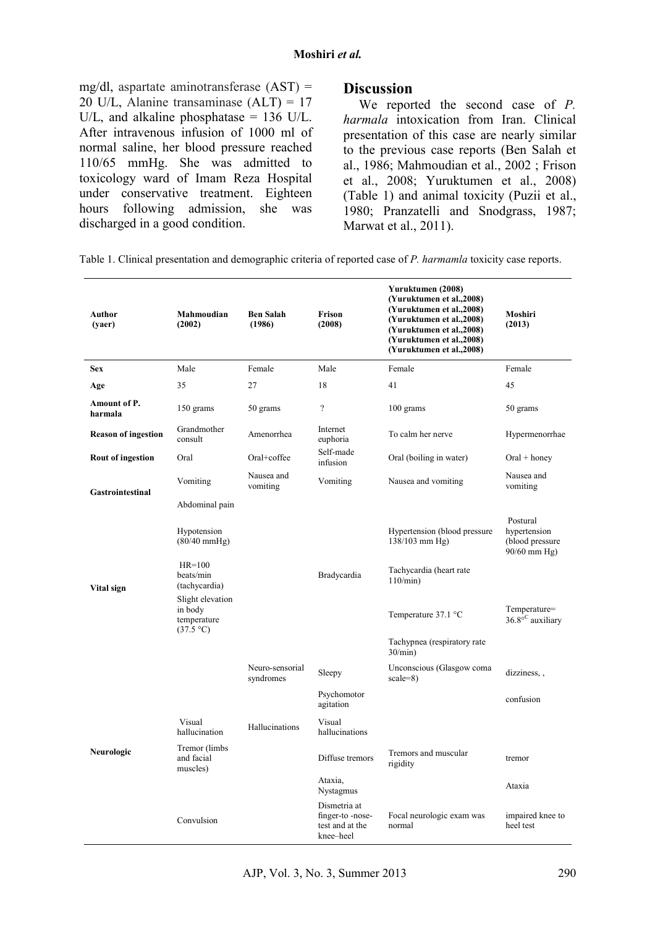#### **Moshiri** *et al.*

mg/dl, aspartate aminotransferase  $(AST) =$ 20 U/L, Alanine transaminase  $(ALT) = 17$ U/L, and alkaline phosphatase = 136 U/L. After intravenous infusion of 1000 ml of normal saline, her blood pressure reached 110/65 mmHg. She was admitted to toxicology ward of Imam Reza Hospital under conservative treatment. Eighteen hours following admission, she was discharged in a good condition.

### **Discussion**

We reported the second case of *P. harmala* intoxication from Iran. Clinical presentation of this case are nearly similar to the previous case reports (Ben Salah et al., 1986; Mahmoudian et al., 2002 ; Frison et al., 2008; Yuruktumen et al., 2008) (Table 1) and animal toxicity (Puzii et al., 1980; Pranzatelli and Snodgrass, 1987; Marwat et al., 2011).

Table 1. Clinical presentation and demographic criteria of reported case of *P. harmamla* toxicity case reports.

| Author<br>(yaer)           | Mahmoudian<br>(2002)                                                                                                                                 | <b>Ben Salah</b><br>(1986)   | Frison<br>(2008)                                                | Yuruktumen (2008)<br>(Yuruktumen et al., 2008)<br>(Yuruktumen et al., 2008)<br>(Yuruktumen et al., 2008)<br>(Yuruktumen et al., 2008)<br>(Yuruktumen et al., 2008)<br>(Yuruktumen et al., 2008) | Moshiri<br>(2013)                                                                                       |
|----------------------------|------------------------------------------------------------------------------------------------------------------------------------------------------|------------------------------|-----------------------------------------------------------------|-------------------------------------------------------------------------------------------------------------------------------------------------------------------------------------------------|---------------------------------------------------------------------------------------------------------|
| <b>Sex</b>                 | Male                                                                                                                                                 | Female                       | Male                                                            | Female                                                                                                                                                                                          | Female                                                                                                  |
| Age                        | 35                                                                                                                                                   | 27                           | 18                                                              | 41                                                                                                                                                                                              | 45                                                                                                      |
| Amount of P.<br>harmala    | 150 grams                                                                                                                                            | 50 grams                     | $\overline{\mathcal{L}}$                                        | 100 grams                                                                                                                                                                                       | 50 grams                                                                                                |
| <b>Reason of ingestion</b> | Grandmother<br>consult                                                                                                                               | Amenorrhea                   | Internet<br>euphoria                                            | To calm her nerve                                                                                                                                                                               | Hypermenorrhae                                                                                          |
| <b>Rout of ingestion</b>   | Oral                                                                                                                                                 | Oral+coffee                  | Self-made<br>infusion                                           | Oral (boiling in water)                                                                                                                                                                         | $Oral + honey$                                                                                          |
| <b>Gastrointestinal</b>    | Vomiting                                                                                                                                             | Nausea and<br>vomiting       | Vomiting                                                        | Nausea and vomiting                                                                                                                                                                             | Nausea and<br>vomiting                                                                                  |
| Vital sign                 | Abdominal pain<br>Hypotension<br>$(80/40$ mmHg)<br>$HR=100$<br>beats/min<br>(tachycardia)<br>Slight elevation<br>in body<br>temperature<br>(37.5 °C) |                              | Bradycardia                                                     | Hypertension (blood pressure)<br>138/103 mm Hg)<br>Tachycardia (heart rate<br>$110/min$ )<br>Temperature $37.1 \text{ }^{\circ}\text{C}$                                                        | Postural<br>hypertension<br>(blood pressure<br>90/60 mm Hg)<br>Temperature=<br>$36.8^{\circ}$ auxiliary |
|                            |                                                                                                                                                      |                              |                                                                 | Tachypnea (respiratory rate)<br>$30/min$ )                                                                                                                                                      |                                                                                                         |
| Neurologic                 |                                                                                                                                                      | Neuro-sensorial<br>syndromes | Sleepy                                                          | Unconscious (Glasgow coma<br>$scale=8$ )                                                                                                                                                        | dizziness,,                                                                                             |
|                            |                                                                                                                                                      |                              | Psychomotor<br>agitation                                        |                                                                                                                                                                                                 | confusion                                                                                               |
|                            | Visual<br>hallucination                                                                                                                              | Hallucinations               | Visual<br>hallucinations                                        |                                                                                                                                                                                                 |                                                                                                         |
|                            | Tremor (limbs)<br>and facial<br>muscles)                                                                                                             |                              | Diffuse tremors                                                 | Tremors and muscular<br>rigidity                                                                                                                                                                | tremor                                                                                                  |
|                            |                                                                                                                                                      |                              | Ataxia,<br>Nystagmus                                            |                                                                                                                                                                                                 | Ataxia                                                                                                  |
|                            | Convulsion                                                                                                                                           |                              | Dismetria at<br>finger-to-nose-<br>test and at the<br>knee-heel | Focal neurologic exam was<br>normal                                                                                                                                                             | impaired knee to<br>heel test                                                                           |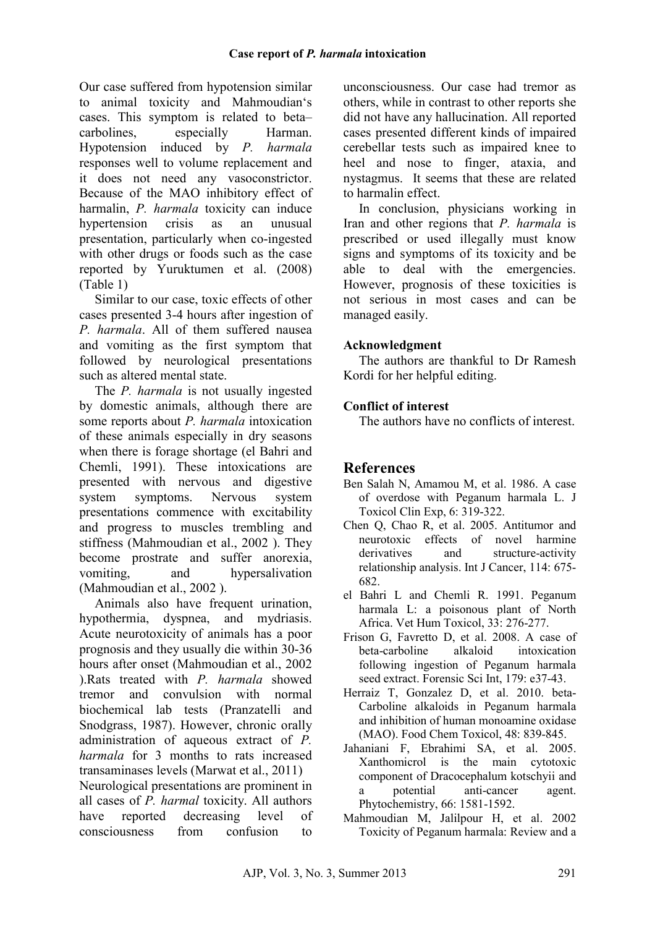Our case suffered from hypotension similar to animal toxicity and Mahmoudian's cases. This symptom is related to beta– carbolines, especially Harman. Hypotension induced by *P. harmala* responses well to volume replacement and it does not need any vasoconstrictor. Because of the MAO inhibitory effect of harmalin, *P. harmala* toxicity can induce hypertension crisis as an unusual presentation, particularly when co-ingested with other drugs or foods such as the case reported by Yuruktumen et al. (2008) (Table 1)

Similar to our case, toxic effects of other cases presented 3-4 hours after ingestion of *P. harmala*. All of them suffered nausea and vomiting as the first symptom that followed by neurological presentations such as altered mental state.

The *P. harmala* is not usually ingested by domestic animals, although there are some reports about *P. harmala* intoxication of these animals especially in dry seasons when there is forage shortage (el Bahri and Chemli, 1991). These intoxications are presented with nervous and digestive system symptoms. Nervous system presentations commence with excitability and progress to muscles trembling and stiffness (Mahmoudian et al., 2002 ). They become prostrate and suffer anorexia, vomiting, and hypersalivation (Mahmoudian et al., 2002 ).

Animals also have frequent urination, hypothermia, dyspnea, and mydriasis. Acute neurotoxicity of animals has a poor prognosis and they usually die within 30-36 hours after onset (Mahmoudian et al., 2002 ).Rats treated with *P. harmala* showed tremor and convulsion with normal biochemical lab tests (Pranzatelli and Snodgrass, 1987). However, chronic orally administration of aqueous extract of *P. harmala* for 3 months to rats increased transaminases levels (Marwat et al., 2011) Neurological presentations are prominent in

all cases of *P. harmal* toxicity. All authors have reported decreasing level of consciousness from confusion to

unconsciousness. Our case had tremor as others, while in contrast to other reports she did not have any hallucination. All reported cases presented different kinds of impaired cerebellar tests such as impaired knee to heel and nose to finger, ataxia, and nystagmus. It seems that these are related to harmalin effect.

In conclusion, physicians working in Iran and other regions that *P. harmala* is prescribed or used illegally must know signs and symptoms of its toxicity and be able to deal with the emergencies. However, prognosis of these toxicities is not serious in most cases and can be managed easily.

### **Acknowledgment**

The authors are thankful to Dr Ramesh Kordi for her helpful editing.

### **Conflict of interest**

The authors have no conflicts of interest.

## **References**

- Ben Salah N, Amamou M, et al. 1986. A case of overdose with Peganum harmala L. J Toxicol Clin Exp, 6: 319-322.
- Chen Q, Chao R, et al. 2005. Antitumor and neurotoxic effects of novel harmine derivatives and structure-activity relationship analysis. Int J Cancer, 114: 675- 682.
- el Bahri L and Chemli R. 1991. Peganum harmala L: a poisonous plant of North Africa. Vet Hum Toxicol, 33: 276-277.
- Frison G, Favretto D, et al. 2008. A case of beta-carboline alkaloid intoxication following ingestion of Peganum harmala seed extract. Forensic Sci Int, 179: e37-43.
- Herraiz T, Gonzalez D, et al. 2010. beta-Carboline alkaloids in Peganum harmala and inhibition of human monoamine oxidase (MAO). Food Chem Toxicol, 48: 839-845.
- Jahaniani F, Ebrahimi SA, et al. 2005. Xanthomicrol is the main cytotoxic component of Dracocephalum kotschyii and a potential anti-cancer agent. Phytochemistry, 66: 1581-1592.
- Mahmoudian M, Jalilpour H, et al. 2002 Toxicity of Peganum harmala: Review and a